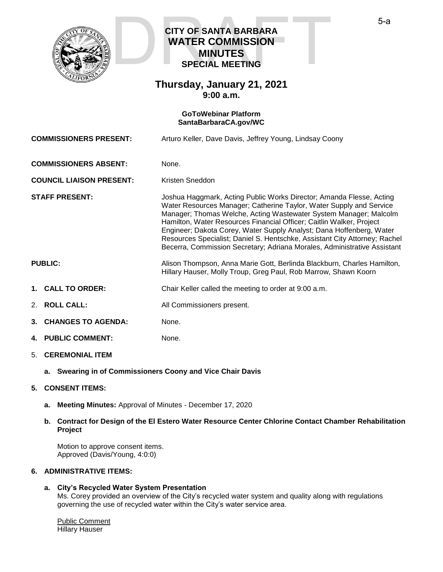

## **CITY OF SANTA BARBARA WATER COMMISSION MINUTES SPECIAL MEETING CITY OF SANTA BARBARA<br>WATER COMMISSION<br>MINUTES<br>SPECIAL MEETING**

### **Thursday, January 21, 2021 9:00 a.m.**

#### **GoToWebinar Platform [SantaBarbaraCA.gov/WC](https://www.santabarbaraca.gov/gov/brdcomm/nz/water/agendas.asp)**

| <b>COMMISSIONERS PRESENT:</b>   |                              | Arturo Keller, Dave Davis, Jeffrey Young, Lindsay Coony                                                                                                                                                                                                                                                                                                                                                                                                                                                                    |
|---------------------------------|------------------------------|----------------------------------------------------------------------------------------------------------------------------------------------------------------------------------------------------------------------------------------------------------------------------------------------------------------------------------------------------------------------------------------------------------------------------------------------------------------------------------------------------------------------------|
| <b>COMMISSIONERS ABSENT:</b>    |                              | None.                                                                                                                                                                                                                                                                                                                                                                                                                                                                                                                      |
| <b>COUNCIL LIAISON PRESENT:</b> |                              | Kristen Sneddon                                                                                                                                                                                                                                                                                                                                                                                                                                                                                                            |
| <b>STAFF PRESENT:</b>           |                              | Joshua Haggmark, Acting Public Works Director; Amanda Flesse, Acting<br>Water Resources Manager; Catherine Taylor, Water Supply and Service<br>Manager; Thomas Welche, Acting Wastewater System Manager; Malcolm<br>Hamilton, Water Resources Financial Officer; Caitlin Walker, Project<br>Engineer; Dakota Corey, Water Supply Analyst; Dana Hoffenberg, Water<br>Resources Specialist; Daniel S. Hentschke, Assistant City Attorney; Rachel<br>Becerra, Commission Secretary; Adriana Morales, Administrative Assistant |
| <b>PUBLIC:</b>                  |                              | Alison Thompson, Anna Marie Gott, Berlinda Blackburn, Charles Hamilton,<br>Hillary Hauser, Molly Troup, Greg Paul, Rob Marrow, Shawn Koorn                                                                                                                                                                                                                                                                                                                                                                                 |
|                                 | 1. CALL TO ORDER:            | Chair Keller called the meeting to order at 9:00 a.m.                                                                                                                                                                                                                                                                                                                                                                                                                                                                      |
|                                 | 2. ROLL CALL:                | All Commissioners present.                                                                                                                                                                                                                                                                                                                                                                                                                                                                                                 |
|                                 | <b>3. CHANGES TO AGENDA:</b> | None.                                                                                                                                                                                                                                                                                                                                                                                                                                                                                                                      |
|                                 | <b>4. PUBLIC COMMENT:</b>    | None.                                                                                                                                                                                                                                                                                                                                                                                                                                                                                                                      |
|                                 | 5. CEREMONIAL ITEM           |                                                                                                                                                                                                                                                                                                                                                                                                                                                                                                                            |
|                                 |                              |                                                                                                                                                                                                                                                                                                                                                                                                                                                                                                                            |

**a. Swearing in of Commissioners Coony and Vice Chair Davis**

#### **5. CONSENT ITEMS:**

- **a. Meeting Minutes:** Approval of Minutes December 17, 2020
- **b. Contract for Design of the El Estero Water Resource Center Chlorine Contact Chamber Rehabilitation Project**

Motion to approve consent items. Approved (Davis/Young, 4:0:0)

#### **6. ADMINISTRATIVE ITEMS:**

#### **a. City's Recycled Water System Presentation**

Ms. Corey provided an overview of the City's recycled water system and quality along with regulations governing the use of recycled water within the City's water service area.

Public Comment Hillary Hauser